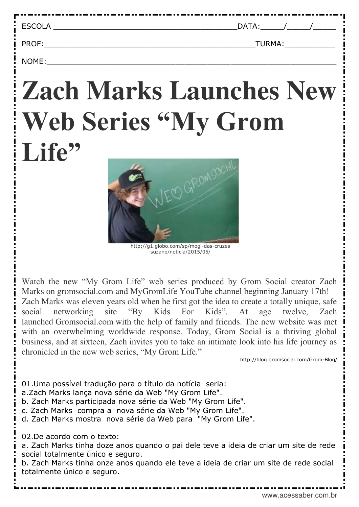| <b>ECCOLA</b><br>--<br>-- | - |  |
|---------------------------|---|--|
|                           |   |  |

PROF: TURMA:

NOME:\_\_\_\_\_\_\_\_\_\_\_\_\_\_\_\_\_\_\_\_\_\_\_\_\_\_\_\_\_\_\_\_\_\_\_\_\_\_\_\_\_\_\_\_\_\_\_\_\_\_\_\_\_\_\_\_\_\_\_\_\_\_\_

## **[Zach Marks Launches New](http://blog.gromsocial.com/Grom-Blog/2017/01/17/zach-marks-launches-new-web-series/)  [Web Series "My Grom](http://blog.gromsocial.com/Grom-Blog/2017/01/17/zach-marks-launches-new-web-series/)**  [Life"](http://blog.gromsocial.com/Grom-Blog/2017/01/17/zach-marks-launches-new-web-series/)



 http://g1.globo.com/sp/mogi-das-cruzes -suzano/noticia/2015/05/

Watch the new "My Grom Life" web series produced by Grom Social creator Zach Marks on [gromsocial.com](https://gromsocial.com/grom/en/) and [MyGromLife](https://www.youtube.com/channel/UCamQFRCx-nCDx-Hjf7BcoKQ) YouTube channel beginning January 17th! Zach Marks was eleven years old when he first got the idea to create a totally unique, safe social networking site "By Kids For Kids". At age twelve, Zach launched [Gromsocial.com](https://gromsocial.com/grom/en/) with the help of family and friends. The new website was met with an overwhelming worldwide response. Today, Grom Social is a thriving global business, and at sixteen, Zach invites you to take an intimate look into his life journey as chronicled in the new web series, "My Grom Life."

http://blog.gromsocial.com/Grom-Blog/

01.Uma possível tradução para o título da notícia seria: a.Zach Marks lança nova série da Web "My Grom Life". b. Zach Marks participada nova série da Web "My Grom Life". c. Zach Marks compra a nova série da Web "My Grom Life". d. Zach Marks mostra nova série da Web para "My Grom Life". 02.De acordo com o texto: a. Zach Marks tinha doze anos quando o pai dele teve a ideia de criar um site de rede social totalmente único e seguro.

b. Zach Marks tinha onze anos quando ele teve a ideia de criar um site de rede social totalmente único e seguro.